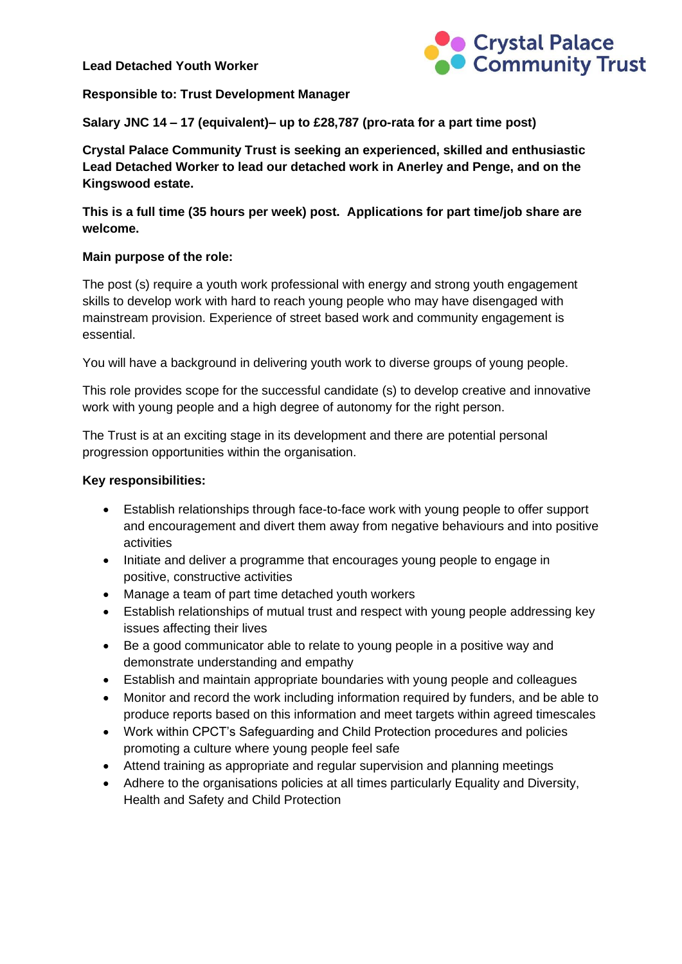**Lead Detached Youth Worker**



#### **Responsible to: Trust Development Manager**

**Salary JNC 14 – 17 (equivalent)– up to £28,787 (pro-rata for a part time post)**

**Crystal Palace Community Trust is seeking an experienced, skilled and enthusiastic Lead Detached Worker to lead our detached work in Anerley and Penge, and on the Kingswood estate.** 

**This is a full time (35 hours per week) post. Applications for part time/job share are welcome.** 

### **Main purpose of the role:**

The post (s) require a youth work professional with energy and strong youth engagement skills to develop work with hard to reach young people who may have disengaged with mainstream provision. Experience of street based work and community engagement is essential.

You will have a background in delivering youth work to diverse groups of young people.

This role provides scope for the successful candidate (s) to develop creative and innovative work with young people and a high degree of autonomy for the right person.

The Trust is at an exciting stage in its development and there are potential personal progression opportunities within the organisation.

### **Key responsibilities:**

- Establish relationships through face-to-face work with young people to offer support and encouragement and divert them away from negative behaviours and into positive activities
- Initiate and deliver a programme that encourages young people to engage in positive, constructive activities
- Manage a team of part time detached youth workers
- Establish relationships of mutual trust and respect with young people addressing key issues affecting their lives
- Be a good communicator able to relate to young people in a positive way and demonstrate understanding and empathy
- Establish and maintain appropriate boundaries with young people and colleagues
- Monitor and record the work including information required by funders, and be able to produce reports based on this information and meet targets within agreed timescales
- Work within CPCT's Safeguarding and Child Protection procedures and policies promoting a culture where young people feel safe
- Attend training as appropriate and regular supervision and planning meetings
- Adhere to the organisations policies at all times particularly Equality and Diversity, Health and Safety and Child Protection